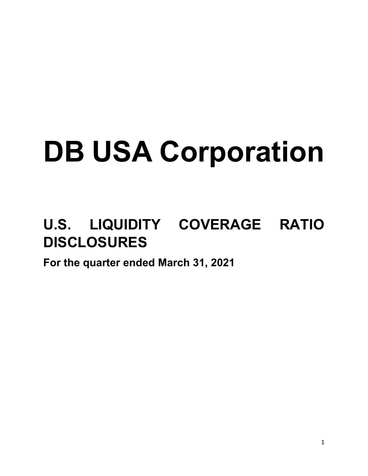# **DB USA Corporation**

## **U.S. LIQUIDITY COVERAGE RATIO DISCLOSURES**

**For the quarter ended March 31, 2021**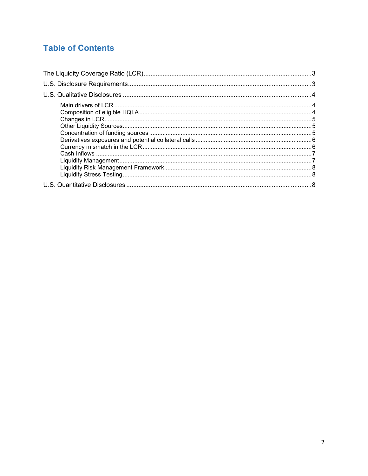### **Table of Contents**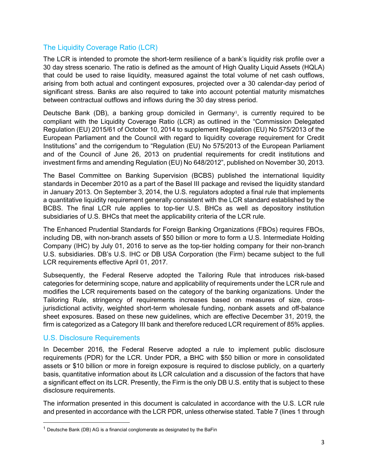#### <span id="page-2-0"></span>The Liquidity Coverage Ratio (LCR)

The LCR is intended to promote the short-term resilience of a bank's liquidity risk profile over a 30 day stress scenario. The ratio is defined as the amount of High Quality Liquid Assets (HQLA) that could be used to raise liquidity, measured against the total volume of net cash outflows, arising from both actual and contingent exposures, projected over a 30 calendar-day period of significant stress. Banks are also required to take into account potential maturity mismatches between contractual outflows and inflows during the 30 day stress period.

Deutsche Bank (DB), a banking group domiciled in Germany<sup>[1](#page-2-2)</sup>, is currently required to be compliant with the Liquidity Coverage Ratio (LCR) as outlined in the "Commission Delegated Regulation (EU) 2015/61 of October 10, 2014 to supplement Regulation (EU) No 575/2013 of the European Parliament and the Council with regard to liquidity coverage requirement for Credit Institutions" and the corrigendum to "Regulation (EU) No 575/2013 of the European Parliament and of the Council of June 26, 2013 on prudential requirements for credit institutions and investment firms and amending Regulation (EU) No 648/2012", published on November 30, 2013.

The Basel Committee on Banking Supervision (BCBS) published the international liquidity standards in December 2010 as a part of the Basel III package and revised the liquidity standard in January 2013. On September 3, 2014, the U.S. regulators adopted a final rule that implements a quantitative liquidity requirement generally consistent with the LCR standard established by the BCBS. The final LCR rule applies to top-tier U.S. BHCs as well as depository institution subsidiaries of U.S. BHCs that meet the applicability criteria of the LCR rule.

The Enhanced Prudential Standards for Foreign Banking Organizations (FBOs) requires FBOs, including DB, with non-branch assets of \$50 billion or more to form a U.S. Intermediate Holding Company (IHC) by July 01, 2016 to serve as the top-tier holding company for their non-branch U.S. subsidiaries. DB's U.S. IHC or DB USA Corporation (the Firm) became subject to the full LCR requirements effective April 01, 2017.

Subsequently, the Federal Reserve adopted the Tailoring Rule that introduces risk-based categories for determining scope, nature and applicability of requirements under the LCR rule and modifies the LCR requirements based on the category of the banking organizations. Under the Tailoring Rule, stringency of requirements increases based on measures of size, crossjurisdictional activity, weighted short-term wholesale funding, nonbank assets and off-balance sheet exposures. Based on these new guidelines, which are effective December 31, 2019, the firm is categorized as a Category III bank and therefore reduced LCR requirement of 85% applies.

#### <span id="page-2-1"></span>U.S. Disclosure Requirements

l

In December 2016, the Federal Reserve adopted a rule to implement public disclosure requirements (PDR) for the LCR. Under PDR, a BHC with \$50 billion or more in consolidated assets or \$10 billion or more in foreign exposure is required to disclose publicly, on a quarterly basis, quantitative information about its LCR calculation and a discussion of the factors that have a significant effect on its LCR. Presently, the Firm is the only DB U.S. entity that is subject to these disclosure requirements.

The information presented in this document is calculated in accordance with the U.S. LCR rule and presented in accordance with the LCR PDR, unless otherwise stated. Table 7 (lines 1 through

<span id="page-2-2"></span> $1$  Deutsche Bank (DB) AG is a financial conglomerate as designated by the BaFin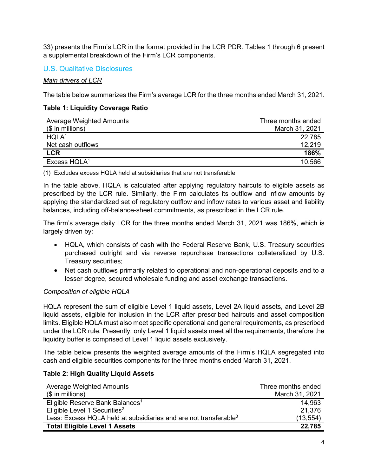33) presents the Firm's LCR in the format provided in the LCR PDR. Tables 1 through 6 present a supplemental breakdown of the Firm's LCR components.

#### <span id="page-3-0"></span>U.S. Qualitative Disclosures

<span id="page-3-1"></span>*Main drivers of LCR*

The table below summarizes the Firm's average LCR for the three months ended March 31, 2021.

#### **Table 1: Liquidity Coverage Ratio**

| <b>Average Weighted Amounts</b> | Three months ended |
|---------------------------------|--------------------|
| $($$ in millions)               | March 31, 2021     |
| HQLA <sup>1</sup>               | 22,785             |
| Net cash outflows               | 12.219             |
| <b>LCR</b>                      | 186%               |
| Excess HQLA <sup>1</sup>        | 10,566             |

(1) Excludes excess HQLA held at subsidiaries that are not transferable

In the table above, HQLA is calculated after applying regulatory haircuts to eligible assets as prescribed by the LCR rule. Similarly, the Firm calculates its outflow and inflow amounts by applying the standardized set of regulatory outflow and inflow rates to various asset and liability balances, including off-balance-sheet commitments, as prescribed in the LCR rule.

The firm's average daily LCR for the three months ended March 31, 2021 was 186%, which is largely driven by:

- HQLA, which consists of cash with the Federal Reserve Bank, U.S. Treasury securities purchased outright and via reverse repurchase transactions collateralized by U.S. Treasury securities;
- Net cash outflows primarily related to operational and non-operational deposits and to a lesser degree, secured wholesale funding and asset exchange transactions.

#### <span id="page-3-2"></span>*Composition of eligible HQLA*

HQLA represent the sum of eligible Level 1 liquid assets, Level 2A liquid assets, and Level 2B liquid assets, eligible for inclusion in the LCR after prescribed haircuts and asset composition limits. Eligible HQLA must also meet specific operational and general requirements, as prescribed under the LCR rule. Presently, only Level 1 liquid assets meet all the requirements, therefore the liquidity buffer is comprised of Level 1 liquid assets exclusively.

The table below presents the weighted average amounts of the Firm's HQLA segregated into cash and eligible securities components for the three months ended March 31, 2021.

#### **Table 2: High Quality Liquid Assets**

| <b>Average Weighted Amounts</b>                                              | Three months ended |
|------------------------------------------------------------------------------|--------------------|
| $($$ in millions)                                                            | March 31, 2021     |
| Eligible Reserve Bank Balances <sup>1</sup>                                  | 14,963             |
| Eligible Level 1 Securities <sup>2</sup>                                     | 21,376             |
| Less: Excess HQLA held at subsidiaries and are not transferable <sup>3</sup> | (13, 554)          |
| <b>Total Eligible Level 1 Assets</b>                                         | 22,785             |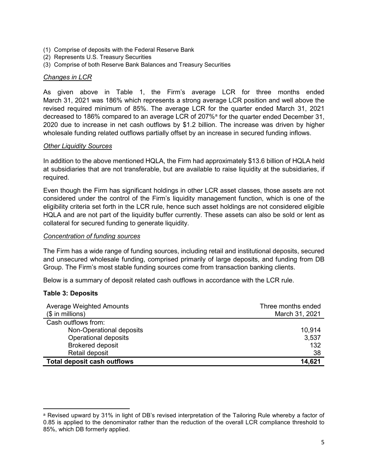- (1) Comprise of deposits with the Federal Reserve Bank
- (2) Represents U.S. Treasury Securities
- (3) Comprise of both Reserve Bank Balances and Treasury Securities

#### <span id="page-4-0"></span>*Changes in LCR*

As given above in Table 1, the Firm's average LCR for three months ended March 31, 2021 was 186% which represents a strong average LCR position and well above the revised required minimum of 85%. The average LCR for the quarter ended March 31, 2021 decre[a](#page-4-3)sed to 186% compared to an average LCR of 207%<sup>a</sup> for the quarter ended December 31, 2020 due to increase in net cash outflows by \$1.2 billion. The increase was driven by higher wholesale funding related outflows partially offset by an increase in secured funding inflows.

#### <span id="page-4-1"></span>*Other Liquidity Sources*

In addition to the above mentioned HQLA, the Firm had approximately \$13.6 billion of HQLA held at subsidiaries that are not transferable, but are available to raise liquidity at the subsidiaries, if required.

Even though the Firm has significant holdings in other LCR asset classes, those assets are not considered under the control of the Firm's liquidity management function, which is one of the eligibility criteria set forth in the LCR rule, hence such asset holdings are not considered eligible HQLA and are not part of the liquidity buffer currently. These assets can also be sold or lent as collateral for secured funding to generate liquidity.

#### <span id="page-4-2"></span>*Concentration of funding sources*

The Firm has a wide range of funding sources, including retail and institutional deposits, secured and unsecured wholesale funding, comprised primarily of large deposits, and funding from DB Group. The Firm's most stable funding sources come from transaction banking clients.

Below is a summary of deposit related cash outflows in accordance with the LCR rule.

#### **Table 3: Deposits**

 $\overline{\phantom{a}}$ 

| <b>Average Weighted Amounts</b><br>$($$ in millions) | Three months ended<br>March 31, 2021 |
|------------------------------------------------------|--------------------------------------|
| Cash outflows from:                                  |                                      |
| Non-Operational deposits                             | 10.914                               |
| Operational deposits                                 | 3,537                                |
| <b>Brokered deposit</b>                              | 132                                  |
| Retail deposit                                       | 38                                   |
| <b>Total deposit cash outflows</b>                   | 14,621                               |

<span id="page-4-3"></span>a Revised upward by 31% in light of DB's revised interpretation of the Tailoring Rule whereby a factor of 0.85 is applied to the denominator rather than the reduction of the overall LCR compliance threshold to 85%, which DB formerly applied.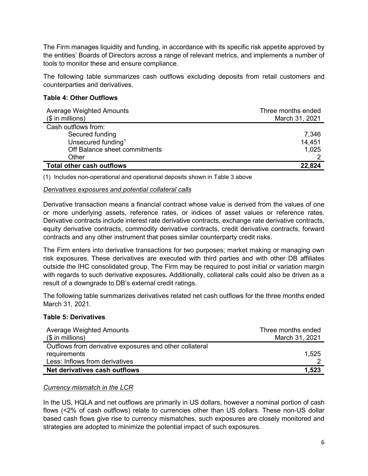The Firm manages liquidity and funding, in accordance with its specific risk appetite approved by the entities' Boards of Directors across a range of relevant metrics, and implements a number of tools to monitor these and ensure compliance.

The following table summarizes cash outflows excluding deposits from retail customers and counterparties and derivatives.

#### **Table 4: Other Outflows**

| <b>Average Weighted Amounts</b><br>$($$ in millions) | Three months ended<br>March 31, 2021 |
|------------------------------------------------------|--------------------------------------|
| Cash outflows from:                                  |                                      |
| Secured funding                                      | 7,346                                |
| Unsecured funding <sup>1</sup>                       | 14,451                               |
| Off Balance sheet commitments                        | 1,025                                |
| Other                                                |                                      |
| <b>Total other cash outflows</b>                     | 22.824                               |

(1) Includes non-operational and operational deposits shown in Table 3 above

#### <span id="page-5-0"></span>*Derivatives exposures and potential collateral calls*

Derivative transaction means a financial contract whose value is derived from the values of one or more underlying assets, reference rates, or indices of asset values or reference rates. Derivative contracts include interest rate derivative contracts, exchange rate derivative contracts, equity derivative contracts, commodity derivative contracts, credit derivative contracts, forward contracts and any other instrument that poses similar counterparty credit risks.

The Firm enters into derivative transactions for two purposes; market making or managing own risk exposures. These derivatives are executed with third parties and with other DB affiliates outside the IHC consolidated group. The Firm may be required to post initial or variation margin with regards to such derivative exposures. Additionally, collateral calls could also be driven as a result of a downgrade to DB's external credit ratings.

The following table summarizes derivatives related net cash outflows for the three months ended March 31, 2021.

#### **Table 5: Derivatives**

| Average Weighted Amounts                                | Three months ended |
|---------------------------------------------------------|--------------------|
| $($$ in millions)                                       | March 31, 2021     |
| Outflows from derivative exposures and other collateral |                    |
| requirements                                            | 1,525              |
| Less: Inflows from derivatives                          |                    |
| Net derivatives cash outflows                           | 1,523              |

#### <span id="page-5-1"></span>*Currency mismatch in the LCR*

In the US, HQLA and net outflows are primarily in US dollars, however a nominal portion of cash flows (<2% of cash outflows) relate to currencies other than US dollars. These non-US dollar based cash flows give rise to currency mismatches, such exposures are closely monitored and strategies are adopted to minimize the potential impact of such exposures.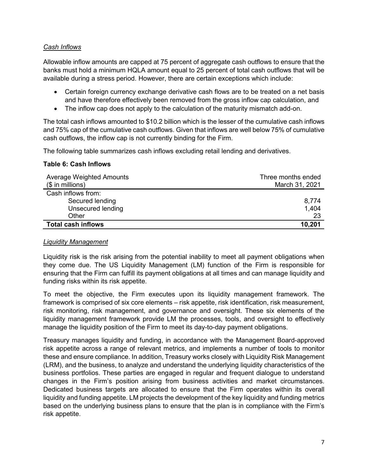#### <span id="page-6-0"></span>*Cash Inflows*

Allowable inflow amounts are capped at 75 percent of aggregate cash outflows to ensure that the banks must hold a minimum HQLA amount equal to 25 percent of total cash outflows that will be available during a stress period. However, there are certain exceptions which include:

- Certain foreign currency exchange derivative cash flows are to be treated on a net basis and have therefore effectively been removed from the gross inflow cap calculation, and
- The inflow cap does not apply to the calculation of the maturity mismatch add-on.

The total cash inflows amounted to \$10.2 billion which is the lesser of the cumulative cash inflows and 75% cap of the cumulative cash outflows. Given that inflows are well below 75% of cumulative cash outflows, the inflow cap is not currently binding for the Firm.

The following table summarizes cash inflows excluding retail lending and derivatives.

#### **Table 6: Cash Inflows**

| Average Weighted Amounts  | Three months ended |
|---------------------------|--------------------|
| $($$ in millions)         | March 31, 2021     |
| Cash inflows from:        |                    |
| Secured lending           | 8,774              |
| Unsecured lending         | 1,404              |
| Other                     | 23                 |
| <b>Total cash inflows</b> | 10,201             |

#### <span id="page-6-1"></span>*Liquidity Management*

Liquidity risk is the risk arising from the potential inability to meet all payment obligations when they come due. The US Liquidity Management (LM) function of the Firm is responsible for ensuring that the Firm can fulfill its payment obligations at all times and can manage liquidity and funding risks within its risk appetite.

To meet the objective, the Firm executes upon its liquidity management framework. The framework is comprised of six core elements – risk appetite, risk identification, risk measurement, risk monitoring, risk management, and governance and oversight. These six elements of the liquidity management framework provide LM the processes, tools, and oversight to effectively manage the liquidity position of the Firm to meet its day-to-day payment obligations.

Treasury manages liquidity and funding, in accordance with the Management Board-approved risk appetite across a range of relevant metrics, and implements a number of tools to monitor these and ensure compliance. In addition, Treasury works closely with Liquidity Risk Management (LRM), and the business, to analyze and understand the underlying liquidity characteristics of the business portfolios. These parties are engaged in regular and frequent dialogue to understand changes in the Firm's position arising from business activities and market circumstances. Dedicated business targets are allocated to ensure that the Firm operates within its overall liquidity and funding appetite. LM projects the development of the key liquidity and funding metrics based on the underlying business plans to ensure that the plan is in compliance with the Firm's risk appetite.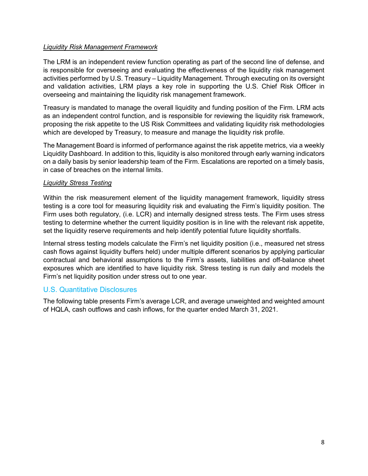#### <span id="page-7-0"></span>*Liquidity Risk Management Framework*

The LRM is an independent review function operating as part of the second line of defense, and is responsible for overseeing and evaluating the effectiveness of the liquidity risk management activities performed by U.S. Treasury – Liquidity Management. Through executing on its oversight and validation activities, LRM plays a key role in supporting the U.S. Chief Risk Officer in overseeing and maintaining the liquidity risk management framework.

Treasury is mandated to manage the overall liquidity and funding position of the Firm. LRM acts as an independent control function, and is responsible for reviewing the liquidity risk framework, proposing the risk appetite to the US Risk Committees and validating liquidity risk methodologies which are developed by Treasury, to measure and manage the liquidity risk profile.

The Management Board is informed of performance against the risk appetite metrics, via a weekly Liquidity Dashboard. In addition to this, liquidity is also monitored through early warning indicators on a daily basis by senior leadership team of the Firm. Escalations are reported on a timely basis, in case of breaches on the internal limits.

#### <span id="page-7-1"></span>*Liquidity Stress Testing*

Within the risk measurement element of the liquidity management framework, liquidity stress testing is a core tool for measuring liquidity risk and evaluating the Firm's liquidity position. The Firm uses both regulatory, (i.e. LCR) and internally designed stress tests. The Firm uses stress testing to determine whether the current liquidity position is in line with the relevant risk appetite, set the liquidity reserve requirements and help identify potential future liquidity shortfalls.

Internal stress testing models calculate the Firm's net liquidity position (i.e., measured net stress cash flows against liquidity buffers held) under multiple different scenarios by applying particular contractual and behavioral assumptions to the Firm's assets, liabilities and off-balance sheet exposures which are identified to have liquidity risk. Stress testing is run daily and models the Firm's net liquidity position under stress out to one year.

#### <span id="page-7-2"></span>U.S. Quantitative Disclosures

The following table presents Firm's average LCR, and average unweighted and weighted amount of HQLA, cash outflows and cash inflows, for the quarter ended March 31, 2021.